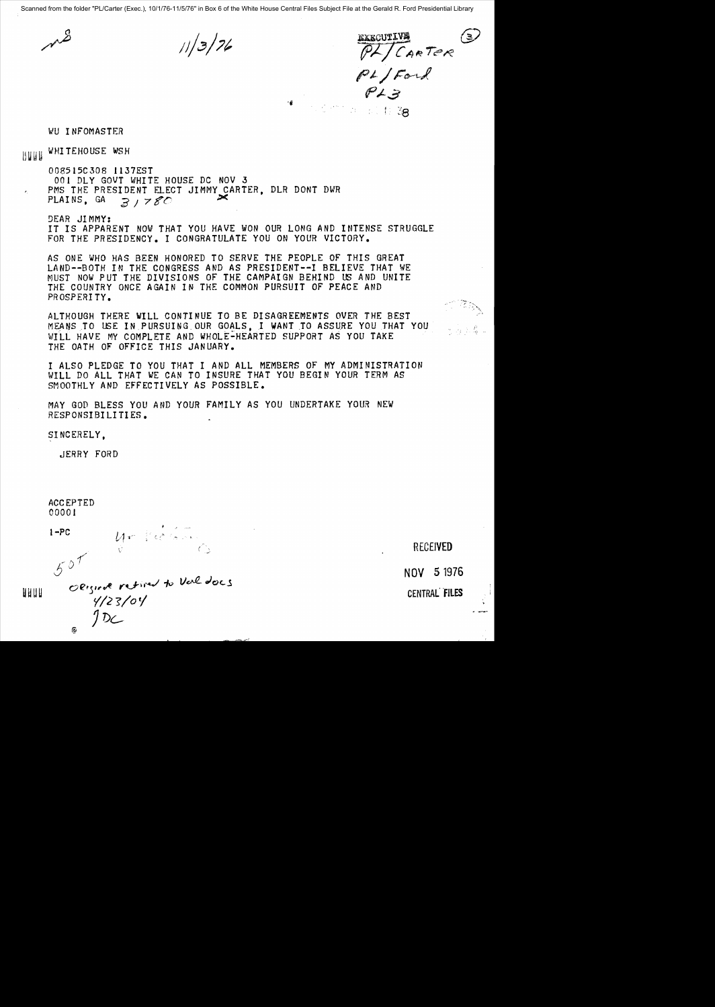Scanned from the folder "PL/Carter (Exec.), 10/1/76-11/5/76" in Box 6 of the White House Central Files Subject File at the Gerald R. Ford Presidential Library

 $11/3/76$ 

**EXECUTIVE** 3  $\overline{P}$ /CARTER  $PI$   $F$ *ord* f's  $\mathcal{F} \neq \mathcal{F}$ 

WU INFOMASTER

BUU WHITEHOUSE WSH

008515C308 1137EST 001 DLY GOVT WHITE HOUSE DC NOV 3 PMS THE PRESIDENT ELECT JIMMY CARTER, DLR DONT DWR<br>PLAINS. GA  $\Rightarrow$   $\Rightarrow$   $\leq$  $31780$ 

!)EAR JI MMY: IT IS APPARENT NOW THAT YOU HAVE WON OUR LONG AND INTENSE STRUGGLE FOR THE PRESIDENCY. I CONGRATULATE YOU ON YOUR VICTORY.

AS ONE WHO HAS BEEN HONORED TO SERVE THE PEOPLE OF THIS GREAT LAND--BOTH IN THE CONGRESS AND AS PRESIDENT--I BELIEVE THAT WE MUST NOW PUT THE DIVISIONS OF THE CAMPAIGN BEHIND US AND UNITE THE COUNTRY ONCE AGAIN IN THE COMMON PURSUIT OF PEACE AND PROSPERI TY.

ALTHOUGH THERE WILL CONTINUE TO BE DISAGREEMENTS OVER THE 8EST MEANS TO USE IN PURSUING OUR GOALS, I WANT TO ASSURE YOU THAT YOU j. – Jan James, Jan Jan Jan Jawa WILL HAVE MY COMPLETE AND WHOLE-HEARTED SUPPORT AS YOU TAKE THE OATH OF OFFICE THIS JANUARY.

I ALSO PLEDGE TO YOU THAT I AND ALL MEMBERS OF MY ADMINISTRATION WILL DO ALL THAT WE CAN TO INSURE THAT YOU BEGIN YOUR TERM AS SMOOTHLY AND EFFECTIVELY AS POSSIBLE.

MAY GOD BLESS YOU AND YOUR FAMILY AS YOU UNDERTAKE YOUR NEW RESPONSIBILITIES.

SINCERELY.

JERRY FORD

ACCEPTED 00001

 $\epsilon$ 

 $I-PC$ 

 $50<sup>T</sup>$ <sup>I</sup>NOV 5 1976  $U$ *J7)G.*

 $U = \int d^3s$ 

RECEIVED